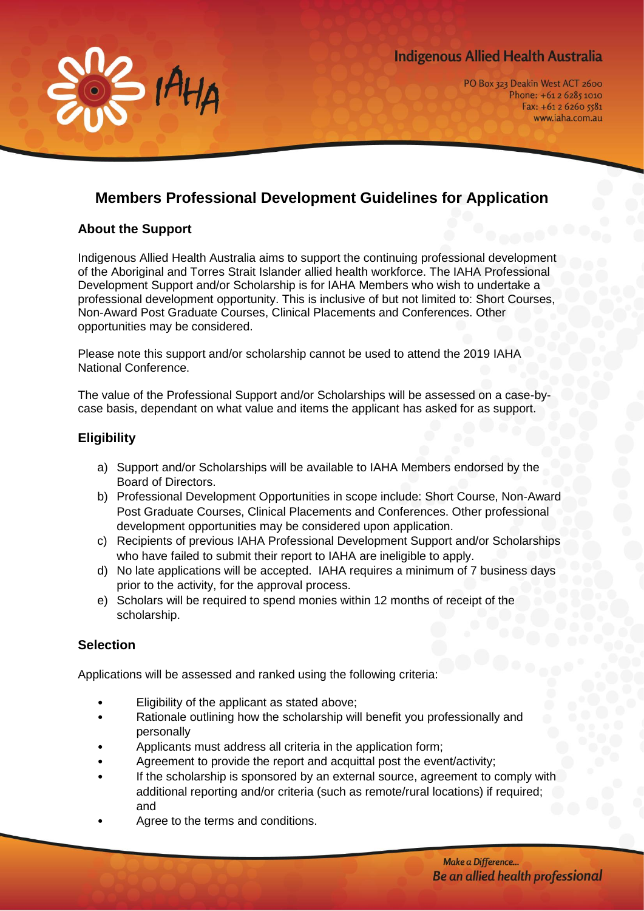# **Indigenous Allied Health Australia**



# **Members Professional Development Guidelines for Application**

#### **About the Support**

 $H_{H_A}$ 

Indigenous Allied Health Australia aims to support the continuing professional development of the Aboriginal and Torres Strait Islander allied health workforce. The IAHA Professional Development Support and/or Scholarship is for IAHA Members who wish to undertake a professional development opportunity. This is inclusive of but not limited to: Short Courses, Non-Award Post Graduate Courses, Clinical Placements and Conferences. Other opportunities may be considered.

Please note this support and/or scholarship cannot be used to attend the 2019 IAHA National Conference.

The value of the Professional Support and/or Scholarships will be assessed on a case-bycase basis, dependant on what value and items the applicant has asked for as support.

#### **Eligibility**

- a) Support and/or Scholarships will be available to IAHA Members endorsed by the Board of Directors.
- b) Professional Development Opportunities in scope include: Short Course, Non-Award Post Graduate Courses, Clinical Placements and Conferences. Other professional development opportunities may be considered upon application.
- c) Recipients of previous IAHA Professional Development Support and/or Scholarships who have failed to submit their report to IAHA are ineligible to apply.
- d) No late applications will be accepted. IAHA requires a minimum of 7 business days prior to the activity, for the approval process.
- e) Scholars will be required to spend monies within 12 months of receipt of the scholarship.

## **Selection**

Applications will be assessed and ranked using the following criteria:

- Eligibility of the applicant as stated above;
- Rationale outlining how the scholarship will benefit you professionally and personally
- Applicants must address all criteria in the application form;
- Agreement to provide the report and acquittal post the event/activity;
- If the scholarship is sponsored by an external source, agreement to comply with additional reporting and/or criteria (such as remote/rural locations) if required; and
- Agree to the terms and conditions.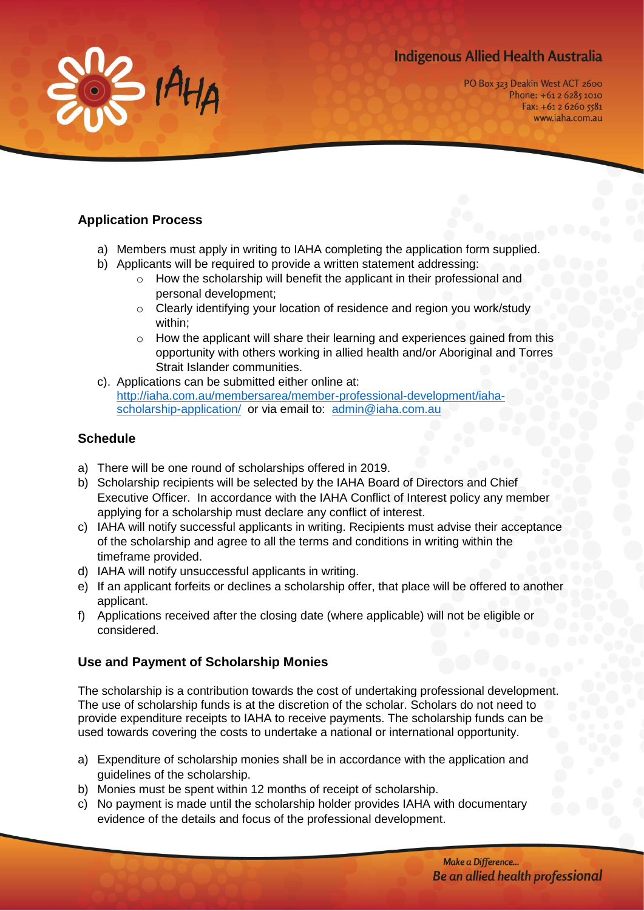# **Indigenous Allied Health Australia**



PO Box 323 Deakin West ACT 2600 Phone: +61 2 6285 1010 Fax:  $+61262605581$ www.iaha.com.au

## **Application Process**

- a) Members must apply in writing to IAHA completing the application form supplied.
- b) Applicants will be required to provide a written statement addressing:
	- o How the scholarship will benefit the applicant in their professional and personal development;
	- o Clearly identifying your location of residence and region you work/study within;
	- $\circ$  How the applicant will share their learning and experiences gained from this opportunity with others working in allied health and/or Aboriginal and Torres Strait Islander communities.
- c). Applications can be submitted either online at: [http://iaha.com.au/membersarea/member-professional-development/iaha](http://iaha.com.au/membersarea/member-professional-development/iaha-scholarship-application/)[scholarship-application/](http://iaha.com.au/membersarea/member-professional-development/iaha-scholarship-application/) or via email to: [admin@iaha.com.au](mailto:admin@iaha.com.au)

## **Schedule**

- a) There will be one round of scholarships offered in 2019.
- b) Scholarship recipients will be selected by the IAHA Board of Directors and Chief Executive Officer. In accordance with the IAHA Conflict of Interest policy any member applying for a scholarship must declare any conflict of interest.
- c) IAHA will notify successful applicants in writing. Recipients must advise their acceptance of the scholarship and agree to all the terms and conditions in writing within the timeframe provided.
- d) IAHA will notify unsuccessful applicants in writing.
- e) If an applicant forfeits or declines a scholarship offer, that place will be offered to another applicant.
- f) Applications received after the closing date (where applicable) will not be eligible or considered.

## **Use and Payment of Scholarship Monies**

The scholarship is a contribution towards the cost of undertaking professional development. The use of scholarship funds is at the discretion of the scholar. Scholars do not need to provide expenditure receipts to IAHA to receive payments. The scholarship funds can be used towards covering the costs to undertake a national or international opportunity.

- a) Expenditure of scholarship monies shall be in accordance with the application and guidelines of the scholarship.
- b) Monies must be spent within 12 months of receipt of scholarship.
- c) No payment is made until the scholarship holder provides IAHA with documentary evidence of the details and focus of the professional development.